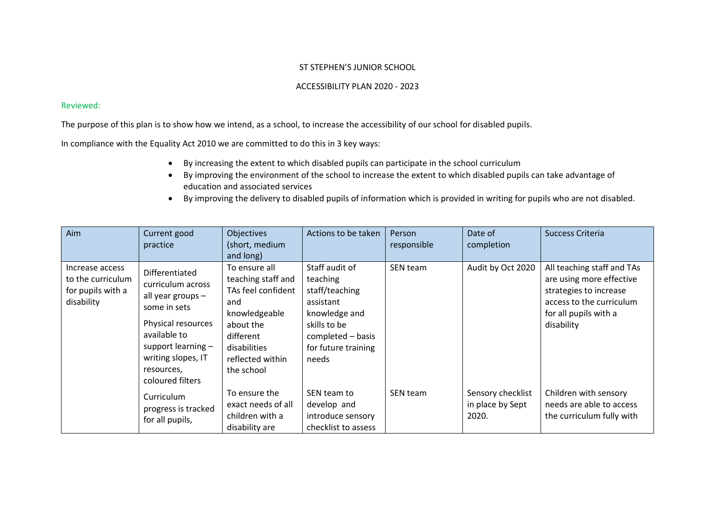## ST STEPHEN'S JUNIOR SCHOOL

## ACCESSIBILITY PLAN 2020 - 2023

## Reviewed:

The purpose of this plan is to show how we intend, as a school, to increase the accessibility of our school for disabled pupils.

In compliance with the Equality Act 2010 we are committed to do this in 3 key ways:

- By increasing the extent to which disabled pupils can participate in the school curriculum
- By improving the environment of the school to increase the extent to which disabled pupils can take advantage of education and associated services
- By improving the delivery to disabled pupils of information which is provided in writing for pupils who are not disabled.

| Aim                                                                     | Current good<br>practice                                                                                                                                                                       | Objectives<br>(short, medium<br>and long)                                                                                                                     | Actions to be taken                                                                                                                             | Person<br>responsible | Date of<br>completion                          | Success Criteria                                                                                                                                    |
|-------------------------------------------------------------------------|------------------------------------------------------------------------------------------------------------------------------------------------------------------------------------------------|---------------------------------------------------------------------------------------------------------------------------------------------------------------|-------------------------------------------------------------------------------------------------------------------------------------------------|-----------------------|------------------------------------------------|-----------------------------------------------------------------------------------------------------------------------------------------------------|
| Increase access<br>to the curriculum<br>for pupils with a<br>disability | Differentiated<br>curriculum across<br>all year groups -<br>some in sets<br>Physical resources<br>available to<br>support learning $-$<br>writing slopes, IT<br>resources,<br>coloured filters | To ensure all<br>teaching staff and<br>TAs feel confident<br>and<br>knowledgeable<br>about the<br>different<br>disabilities<br>reflected within<br>the school | Staff audit of<br>teaching<br>staff/teaching<br>assistant<br>knowledge and<br>skills to be<br>completed - basis<br>for future training<br>needs | SEN team              | Audit by Oct 2020                              | All teaching staff and TAs<br>are using more effective<br>strategies to increase<br>access to the curriculum<br>for all pupils with a<br>disability |
|                                                                         | Curriculum<br>progress is tracked<br>for all pupils,                                                                                                                                           | To ensure the<br>exact needs of all<br>children with a<br>disability are                                                                                      | SEN team to<br>develop and<br>introduce sensory<br>checklist to assess                                                                          | SEN team              | Sensory checklist<br>in place by Sept<br>2020. | Children with sensory<br>needs are able to access<br>the curriculum fully with                                                                      |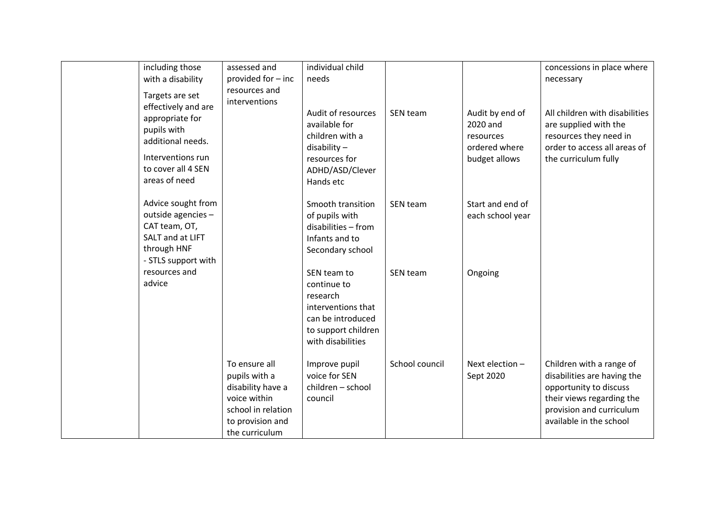| including those<br>with a disability<br>Targets are set                                                                                | assessed and<br>provided for - inc<br>resources and<br>interventions                                                            | individual child<br>needs                                                                                                     |                |                                                                            | concessions in place where<br>necessary                                                                                                                               |
|----------------------------------------------------------------------------------------------------------------------------------------|---------------------------------------------------------------------------------------------------------------------------------|-------------------------------------------------------------------------------------------------------------------------------|----------------|----------------------------------------------------------------------------|-----------------------------------------------------------------------------------------------------------------------------------------------------------------------|
| effectively and are<br>appropriate for<br>pupils with<br>additional needs.<br>Interventions run<br>to cover all 4 SEN<br>areas of need |                                                                                                                                 | Audit of resources<br>available for<br>children with a<br>$disability -$<br>resources for<br>ADHD/ASD/Clever<br>Hands etc     | SEN team       | Audit by end of<br>2020 and<br>resources<br>ordered where<br>budget allows | All children with disabilities<br>are supplied with the<br>resources they need in<br>order to access all areas of<br>the curriculum fully                             |
| Advice sought from<br>outside agencies -<br>CAT team, OT,<br>SALT and at LIFT<br>through HNF<br>- STLS support with                    |                                                                                                                                 | Smooth transition<br>of pupils with<br>disabilities - from<br>Infants and to<br>Secondary school                              | SEN team       | Start and end of<br>each school year                                       |                                                                                                                                                                       |
| resources and<br>advice                                                                                                                |                                                                                                                                 | SEN team to<br>continue to<br>research<br>interventions that<br>can be introduced<br>to support children<br>with disabilities | SEN team       | Ongoing                                                                    |                                                                                                                                                                       |
|                                                                                                                                        | To ensure all<br>pupils with a<br>disability have a<br>voice within<br>school in relation<br>to provision and<br>the curriculum | Improve pupil<br>voice for SEN<br>children - school<br>council                                                                | School council | Next election -<br>Sept 2020                                               | Children with a range of<br>disabilities are having the<br>opportunity to discuss<br>their views regarding the<br>provision and curriculum<br>available in the school |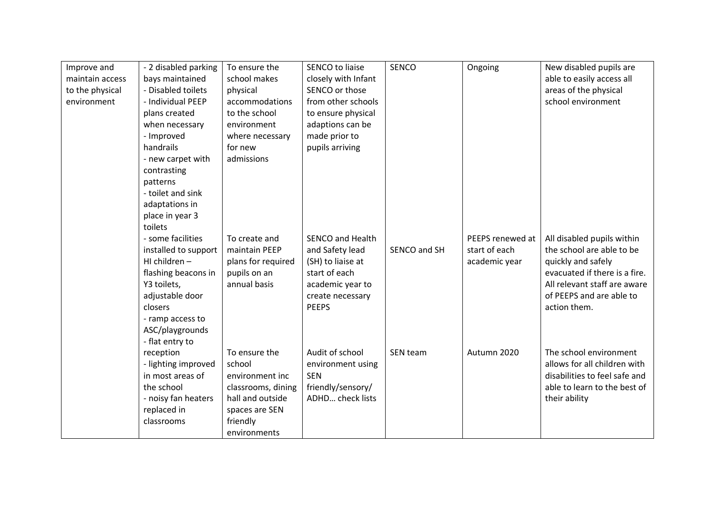| Improve and     | - 2 disabled parking | To ensure the      | <b>SENCO to liaise</b>  | <b>SENCO</b> | Ongoing          | New disabled pupils are       |
|-----------------|----------------------|--------------------|-------------------------|--------------|------------------|-------------------------------|
| maintain access | bays maintained      | school makes       | closely with Infant     |              |                  | able to easily access all     |
| to the physical | - Disabled toilets   | physical           | SENCO or those          |              |                  | areas of the physical         |
| environment     | - Individual PEEP    | accommodations     | from other schools      |              |                  | school environment            |
|                 | plans created        | to the school      | to ensure physical      |              |                  |                               |
|                 | when necessary       | environment        | adaptions can be        |              |                  |                               |
|                 | - Improved           | where necessary    | made prior to           |              |                  |                               |
|                 | handrails            | for new            | pupils arriving         |              |                  |                               |
|                 | - new carpet with    | admissions         |                         |              |                  |                               |
|                 | contrasting          |                    |                         |              |                  |                               |
|                 | patterns             |                    |                         |              |                  |                               |
|                 | - toilet and sink    |                    |                         |              |                  |                               |
|                 | adaptations in       |                    |                         |              |                  |                               |
|                 | place in year 3      |                    |                         |              |                  |                               |
|                 | toilets              |                    |                         |              |                  |                               |
|                 | - some facilities    | To create and      | <b>SENCO and Health</b> |              | PEEPS renewed at | All disabled pupils within    |
|                 | installed to support | maintain PEEP      | and Safety lead         | SENCO and SH | start of each    | the school are able to be     |
|                 | HI children $-$      | plans for required | (SH) to liaise at       |              | academic year    | quickly and safely            |
|                 | flashing beacons in  | pupils on an       | start of each           |              |                  | evacuated if there is a fire. |
|                 | Y3 toilets,          | annual basis       | academic year to        |              |                  | All relevant staff are aware  |
|                 | adjustable door      |                    | create necessary        |              |                  | of PEEPS and are able to      |
|                 | closers              |                    | <b>PEEPS</b>            |              |                  | action them.                  |
|                 | - ramp access to     |                    |                         |              |                  |                               |
|                 | ASC/playgrounds      |                    |                         |              |                  |                               |
|                 | - flat entry to      |                    |                         |              |                  |                               |
|                 | reception            | To ensure the      | Audit of school         | SEN team     | Autumn 2020      | The school environment        |
|                 | - lighting improved  | school             | environment using       |              |                  | allows for all children with  |
|                 | in most areas of     | environment inc    | <b>SEN</b>              |              |                  | disabilities to feel safe and |
|                 | the school           | classrooms, dining | friendly/sensory/       |              |                  | able to learn to the best of  |
|                 | - noisy fan heaters  | hall and outside   | <b>ADHD check lists</b> |              |                  | their ability                 |
|                 | replaced in          | spaces are SEN     |                         |              |                  |                               |
|                 | classrooms           | friendly           |                         |              |                  |                               |
|                 |                      | environments       |                         |              |                  |                               |